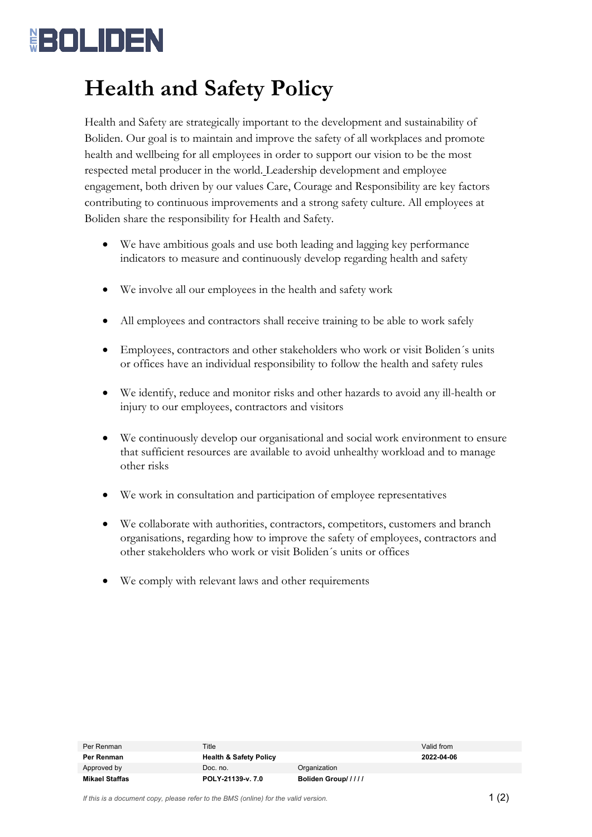## <u> (BOLIDEN</u>

## **Health and Safety Policy**

Health and Safety are strategically important to the development and sustainability of Boliden. Our goal is to maintain and improve the safety of all workplaces and promote health and wellbeing for all employees in order to support our vision to be the most respected metal producer in the world. Leadership development and employee engagement, both driven by our values Care, Courage and Responsibility are key factors contributing to continuous improvements and a strong safety culture. All employees at Boliden share the responsibility for Health and Safety.

- We have ambitious goals and use both leading and lagging key performance indicators to measure and continuously develop regarding health and safety
- We involve all our employees in the health and safety work
- All employees and contractors shall receive training to be able to work safely
- Employees, contractors and other stakeholders who work or visit Boliden´s units or offices have an individual responsibility to follow the health and safety rules
- We identify, reduce and monitor risks and other hazards to avoid any ill-health or injury to our employees, contractors and visitors
- We continuously develop our organisational and social work environment to ensure that sufficient resources are available to avoid unhealthy workload and to manage other risks
- We work in consultation and participation of employee representatives
- We collaborate with authorities, contractors, competitors, customers and branch organisations, regarding how to improve the safety of employees, contractors and other stakeholders who work or visit Boliden´s units or offices
- We comply with relevant laws and other requirements

| Per Renman     | Title                             |                    | Valid from |
|----------------|-----------------------------------|--------------------|------------|
| Per Renman     | <b>Health &amp; Safety Policy</b> |                    | 2022-04-06 |
| Approved by    | Doc. no.                          | Organization       |            |
| Mikael Staffas | POLY-21139-v. 7.0                 | Boliden Group///// |            |

*If this is a document copy, please refer to the BMS (online) for the valid version.*  $1 \n(2)$